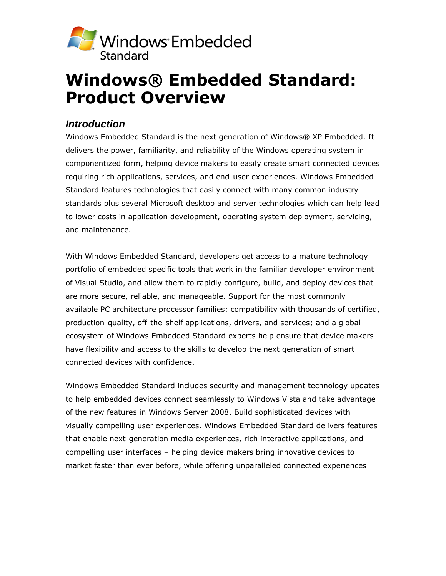

# **Windows® Embedded Standard: Product Overview**

# *Introduction*

Windows Embedded Standard is the next generation of Windows® XP Embedded. It delivers the power, familiarity, and reliability of the Windows operating system in componentized form, helping device makers to easily create smart connected devices requiring rich applications, services, and end-user experiences. Windows Embedded Standard features technologies that easily connect with many common industry standards plus several Microsoft desktop and server technologies which can help lead to lower costs in application development, operating system deployment, servicing, and maintenance.

With Windows Embedded Standard, developers get access to a mature technology portfolio of embedded specific tools that work in the familiar developer environment of Visual Studio, and allow them to rapidly configure, build, and deploy devices that are more secure, reliable, and manageable. Support for the most commonly available PC architecture processor families; compatibility with thousands of certified, production-quality, off-the-shelf applications, drivers, and services; and a global ecosystem of Windows Embedded Standard experts help ensure that device makers have flexibility and access to the skills to develop the next generation of smart connected devices with confidence.

Windows Embedded Standard includes security and management technology updates to help embedded devices connect seamlessly to Windows Vista and take advantage of the new features in Windows Server 2008. Build sophisticated devices with visually compelling user experiences. Windows Embedded Standard delivers features that enable next-generation media experiences, rich interactive applications, and compelling user interfaces – helping device makers bring innovative devices to market faster than ever before, while offering unparalleled connected experiences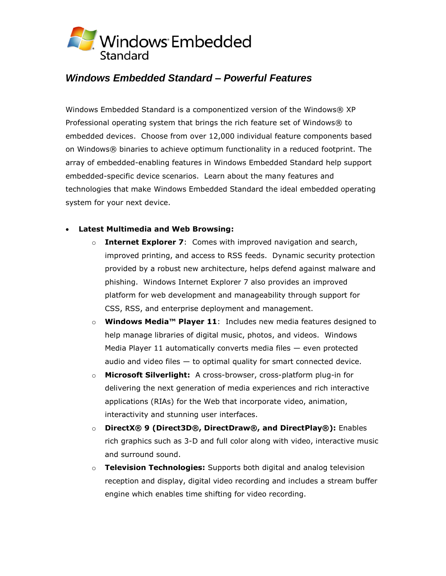

# *Windows Embedded Standard – Powerful Features*

Windows Embedded Standard is a componentized version of the Windows® XP Professional operating system that brings the rich feature set of Windows® to embedded devices. Choose from over 12,000 individual feature components based on Windows® binaries to achieve optimum functionality in a reduced footprint. The array of embedded-enabling features in Windows Embedded Standard help support embedded-specific device scenarios. Learn about the many features and technologies that make Windows Embedded Standard the ideal embedded operating system for your next device.

### **Latest Multimedia and Web Browsing:**

- o **Internet Explorer 7**: Comes with improved navigation and search, improved printing, and access to RSS feeds. Dynamic security protection provided by a robust new architecture, helps defend against malware and phishing. Windows Internet Explorer 7 also provides an improved platform for web development and manageability through support for CSS, RSS, and enterprise deployment and management.
- o **Windows Media™ Player 11**: Includes new media features designed to help manage libraries of digital music, photos, and videos. Windows Media Player 11 automatically converts media files — even protected audio and video files  $-$  to optimal quality for smart connected device.
- o **Microsoft Silverlight:** A cross-browser, cross-platform plug-in for delivering the next generation of media experiences and rich interactive applications (RIAs) for the Web that incorporate video, animation, interactivity and stunning user interfaces.
- o **DirectX® 9 (Direct3D®, DirectDraw®, and DirectPlay®):** Enables rich graphics such as 3-D and full color along with video, interactive music and surround sound.
- o **Television Technologies:** Supports both digital and analog television reception and display, digital video recording and includes a stream buffer engine which enables time shifting for video recording.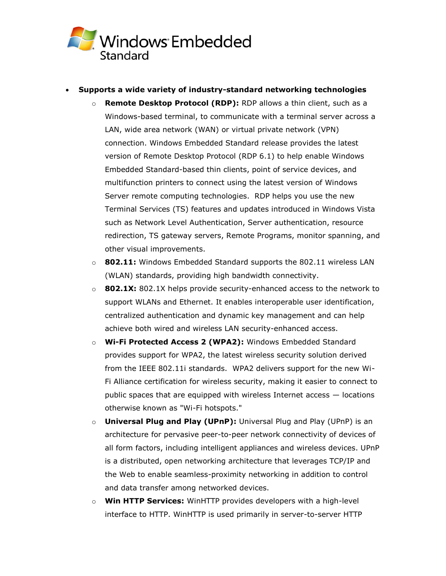

- **Supports a wide variety of industry-standard networking technologies**
	- o **Remote Desktop Protocol (RDP):** RDP allows a thin client, such as a Windows-based terminal, to communicate with a terminal server across a LAN, wide area network (WAN) or virtual private network (VPN) connection. Windows Embedded Standard release provides the latest version of Remote Desktop Protocol (RDP 6.1) to help enable Windows Embedded Standard-based thin clients, point of service devices, and multifunction printers to connect using the latest version of Windows Server remote computing technologies. RDP helps you use the new Terminal Services (TS) features and updates introduced in Windows Vista such as Network Level Authentication, Server authentication, resource redirection, TS gateway servers, Remote Programs, monitor spanning, and other visual improvements.
	- o **802.11:** Windows Embedded Standard supports the 802.11 wireless LAN (WLAN) standards, providing high bandwidth connectivity.
	- o **802.1X:** 802.1X helps provide security-enhanced access to the network to support WLANs and Ethernet. It enables interoperable user identification, centralized authentication and dynamic key management and can help achieve both wired and wireless LAN security-enhanced access.
	- o **Wi-Fi Protected Access 2 (WPA2):** Windows Embedded Standard provides support for WPA2, the latest wireless security solution derived from the IEEE 802.11i standards. WPA2 delivers support for the new Wi-Fi Alliance certification for wireless security, making it easier to connect to public spaces that are equipped with wireless Internet access — locations otherwise known as "Wi-Fi hotspots."
	- o **Universal Plug and Play (UPnP):** Universal Plug and Play (UPnP) is an architecture for pervasive peer-to-peer network connectivity of devices of all form factors, including intelligent appliances and wireless devices. UPnP is a distributed, open networking architecture that leverages TCP/IP and the Web to enable seamless-proximity networking in addition to control and data transfer among networked devices.
	- o **Win HTTP Services:** WinHTTP provides developers with a high-level interface to HTTP. WinHTTP is used primarily in server-to-server HTTP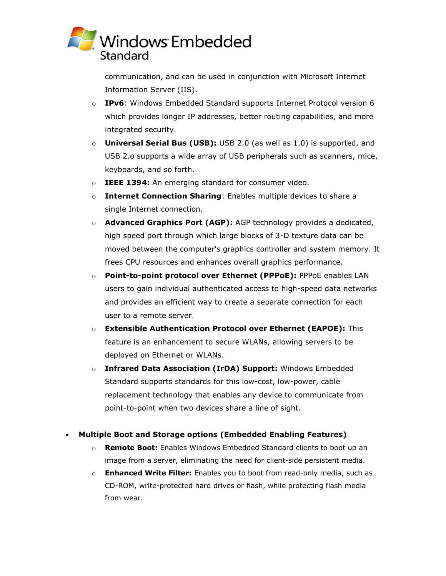

communication, and can be used in conjunction with Microsoft Internet Information Server (IIS).

- o **IPv6**: Windows Embedded Standard supports Internet Protocol version 6 which provides longer IP addresses, better routing capabilities, and more integrated security.
- o **Universal Serial Bus (USB):** USB 2.0 (as well as 1.0) is supported, and USB 2.o supports a wide array of USB peripherals such as scanners, mice, keyboards, and so forth.
- o **IEEE 1394:** An emerging standard for consumer video.
- o **Internet Connection Sharing**: Enables multiple devices to share a single Internet connection.
- o **Advanced Graphics Port (AGP):** AGP technology provides a dedicated, high speed port through which large blocks of 3-D texture data can be moved between the computer's graphics controller and system memory. It frees CPU resources and enhances overall graphics performance.
- o **Point-to-point protocol over Ethernet (PPPoE):** PPPoE enables LAN users to gain individual authenticated access to high-speed data networks and provides an efficient way to create a separate connection for each user to a remote server.
- o **Extensible Authentication Protocol over Ethernet (EAPOE):** This feature is an enhancement to secure WLANs, allowing servers to be deployed on Ethernet or WLANs.
- o **Infrared Data Association (IrDA) Support:** Windows Embedded Standard supports standards for this low-cost, low-power, cable replacement technology that enables any device to communicate from point-to-point when two devices share a line of sight.

### **Multiple Boot and Storage options (Embedded Enabling Features)**

- o **Remote Boot:** Enables Windows Embedded Standard clients to boot up an image from a server, eliminating the need for client-side persistent media.
- o **Enhanced Write Filter:** Enables you to boot from read-only media, such as CD-ROM, write-protected hard drives or flash, while protecting flash media from wear.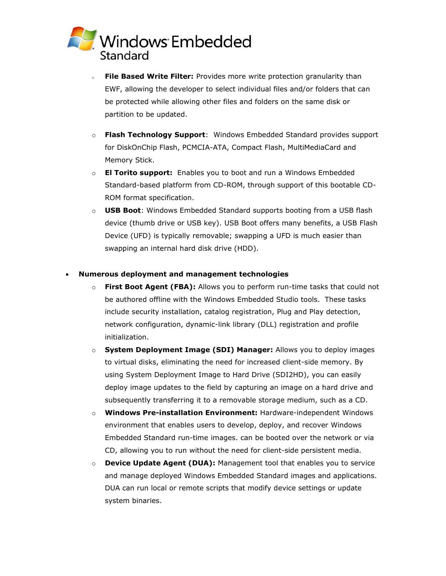

- **File Based Write Filter:** Provides more write protection granularity than EWF, allowing the developer to select individual files and/or folders that can be protected while allowing other files and folders on the same disk or partition to be updated.
- o **Flash Technology Support**: Windows Embedded Standard provides support for DiskOnChip Flash, PCMCIA-ATA, Compact Flash, MultiMediaCard and Memory Stick.
- o **El Torito support:** Enables you to boot and run a Windows Embedded Standard-based platform from CD-ROM, through support of this bootable CD-ROM format specification.
- o **USB Boot**: Windows Embedded Standard supports booting from a USB flash device (thumb drive or USB key). USB Boot offers many benefits, a USB Flash Device (UFD) is typically removable; swapping a UFD is much easier than swapping an internal hard disk drive (HDD).

#### **Numerous deployment and management technologies**

- o **First Boot Agent (FBA):** Allows you to perform run-time tasks that could not be authored offline with the Windows Embedded Studio tools. These tasks include security installation, catalog registration, Plug and Play detection, network configuration, dynamic-link library (DLL) registration and profile initialization.
- o **System Deployment Image (SDI) Manager:** Allows you to deploy images to virtual disks, eliminating the need for increased client-side memory. By using System Deployment Image to Hard Drive (SDI2HD), you can easily deploy image updates to the field by capturing an image on a hard drive and subsequently transferring it to a removable storage medium, such as a CD.
- o **Windows Pre-installation Environment:** Hardware-independent Windows environment that enables users to develop, deploy, and recover Windows Embedded Standard run-time images. can be booted over the network or via CD, allowing you to run without the need for client-side persistent media.
- o **Device Update Agent (DUA):** Management tool that enables you to service and manage deployed Windows Embedded Standard images and applications. DUA can run local or remote scripts that modify device settings or update system binaries.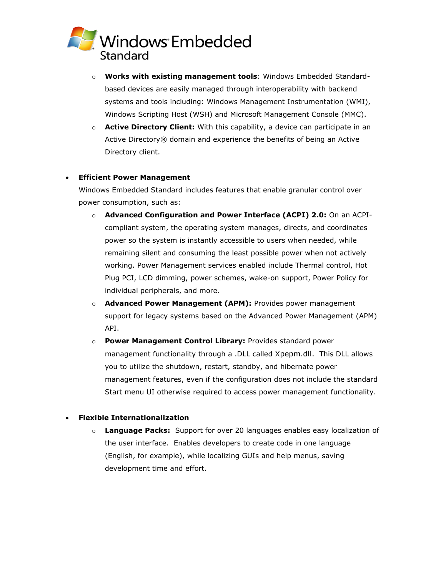

- o **Works with existing management tools**: Windows Embedded Standardbased devices are easily managed through interoperability with backend systems and tools including: Windows Management Instrumentation (WMI), Windows Scripting Host (WSH) and Microsoft Management Console (MMC).
- o **Active Directory Client:** With this capability, a device can participate in an Active Directory® domain and experience the benefits of being an Active Directory client.

#### **Efficient Power Management**

Windows Embedded Standard includes features that enable granular control over power consumption, such as:

- o **Advanced Configuration and Power Interface (ACPI) 2.0:** On an ACPIcompliant system, the operating system manages, directs, and coordinates power so the system is instantly accessible to users when needed, while remaining silent and consuming the least possible power when not actively working. Power Management services enabled include Thermal control, Hot Plug PCI, LCD dimming, power schemes, wake-on support, Power Policy for individual peripherals, and more.
- o **Advanced Power Management (APM):** Provides power management support for legacy systems based on the Advanced Power Management (APM) API.
- o **Power Management Control Library:** Provides standard power management functionality through a .DLL called Xpepm.dll. This DLL allows you to utilize the shutdown, restart, standby, and hibernate power management features, even if the configuration does not include the standard Start menu UI otherwise required to access power management functionality.

#### **Flexible Internationalization**

o **Language Packs:** Support for over 20 languages enables easy localization of the user interface. Enables developers to create code in one language (English, for example), while localizing GUIs and help menus, saving development time and effort.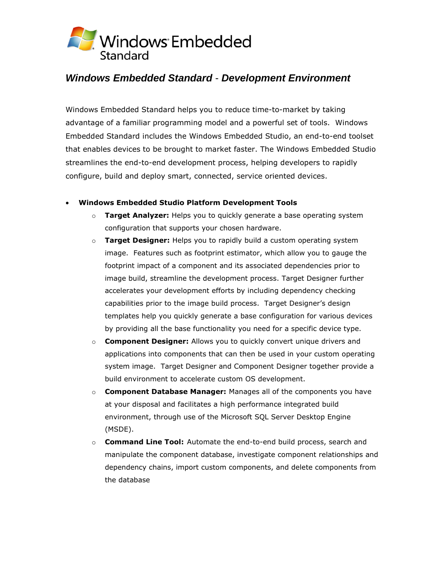

# *Windows Embedded Standard* - *Development Environment*

Windows Embedded Standard helps you to reduce time-to-market by taking advantage of a familiar programming model and a powerful set of tools. Windows Embedded Standard includes the Windows Embedded Studio, an end-to-end toolset that enables devices to be brought to market faster. The Windows Embedded Studio streamlines the end-to-end development process, helping developers to rapidly configure, build and deploy smart, connected, service oriented devices.

### **Windows Embedded Studio Platform Development Tools**

- o **Target Analyzer:** Helps you to quickly generate a base operating system configuration that supports your chosen hardware.
- o **Target Designer:** Helps you to rapidly build a custom operating system image. Features such as footprint estimator, which allow you to gauge the footprint impact of a component and its associated dependencies prior to image build, streamline the development process. Target Designer further accelerates your development efforts by including dependency checking capabilities prior to the image build process. Target Designer's design templates help you quickly generate a base configuration for various devices by providing all the base functionality you need for a specific device type.
- o **Component Designer:** Allows you to quickly convert unique drivers and applications into components that can then be used in your custom operating system image. Target Designer and Component Designer together provide a build environment to accelerate custom OS development.
- o **Component Database Manager:** Manages all of the components you have at your disposal and facilitates a high performance integrated build environment, through use of the Microsoft SQL Server Desktop Engine (MSDE).
- o **Command Line Tool:** Automate the end-to-end build process, search and manipulate the component database, investigate component relationships and dependency chains, import custom components, and delete components from the database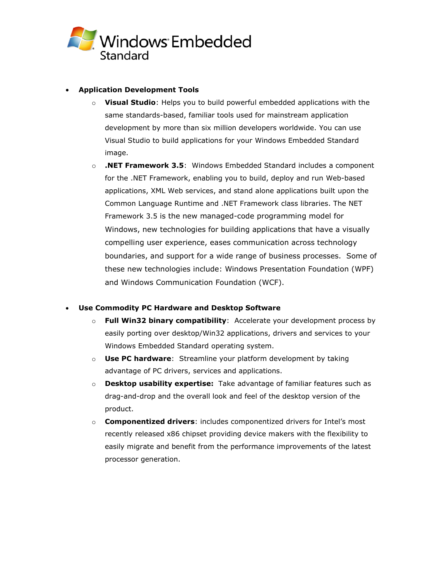

### **Application Development Tools**

- o **Visual Studio**: Helps you to build powerful embedded applications with the same standards-based, familiar tools used for mainstream application development by more than six million developers worldwide. You can use Visual Studio to build applications for your Windows Embedded Standard image.
- o **.NET Framework 3.5**: Windows Embedded Standard includes a component for the .NET Framework, enabling you to build, deploy and run Web-based applications, XML Web services, and stand alone applications built upon the Common Language Runtime and .NET Framework class libraries. The NET Framework 3.5 is the new managed-code programming model for Windows, new technologies for building applications that have a visually compelling user experience, eases communication across technology boundaries, and support for a wide range of business processes. Some of these new technologies include: Windows Presentation Foundation (WPF) and Windows Communication Foundation (WCF).

### **Use Commodity PC Hardware and Desktop Software**

- o **Full Win32 binary compatibility**: Accelerate your development process by easily porting over desktop/Win32 applications, drivers and services to your Windows Embedded Standard operating system.
- o **Use PC hardware**: Streamline your platform development by taking advantage of PC drivers, services and applications.
- o **Desktop usability expertise:** Take advantage of familiar features such as drag-and-drop and the overall look and feel of the desktop version of the product.
- o **Componentized drivers**: includes componentized drivers for Intel's most recently released x86 chipset providing device makers with the flexibility to easily migrate and benefit from the performance improvements of the latest processor generation.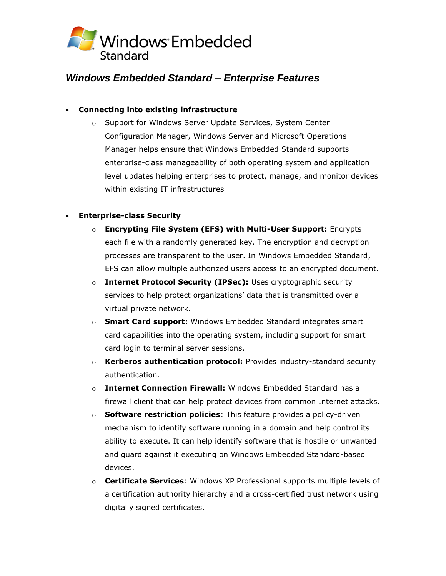

# *Windows Embedded Standard* – *Enterprise Features*

## **Connecting into existing infrastructure**

o Support for Windows Server Update Services, System Center Configuration Manager, Windows Server and Microsoft Operations Manager helps ensure that Windows Embedded Standard supports enterprise-class manageability of both operating system and application level updates helping enterprises to protect, manage, and monitor devices within existing IT infrastructures

### **Enterprise-class Security**

- o **Encrypting File System (EFS) with Multi-User Support:** Encrypts each file with a randomly generated key. The encryption and decryption processes are transparent to the user. In Windows Embedded Standard, EFS can allow multiple authorized users access to an encrypted document.
- o **Internet Protocol Security (IPSec):** Uses cryptographic security services to help protect organizations' data that is transmitted over a virtual private network.
- o **Smart Card support:** Windows Embedded Standard integrates smart card capabilities into the operating system, including support for smart card login to terminal server sessions.
- o **Kerberos authentication protocol:** Provides industry-standard security authentication.
- o **Internet Connection Firewall:** Windows Embedded Standard has a firewall client that can help protect devices from common Internet attacks.
- o **Software restriction policies**: This feature provides a policy-driven mechanism to identify software running in a domain and help control its ability to execute. It can help identify software that is hostile or unwanted and guard against it executing on Windows Embedded Standard-based devices.
- o **Certificate Services**: Windows XP Professional supports multiple levels of a certification authority hierarchy and a cross-certified trust network using digitally signed certificates.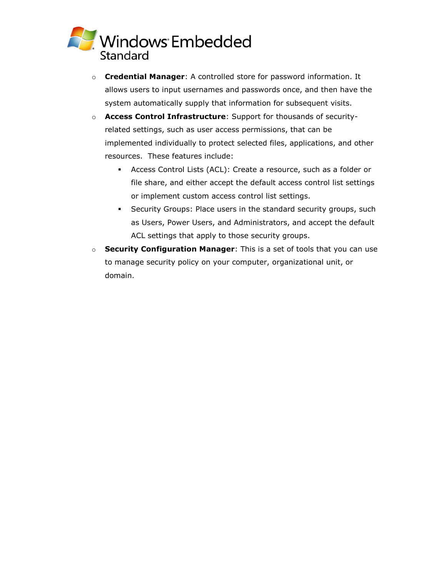

- o **Credential Manager**: A controlled store for password information. It allows users to input usernames and passwords once, and then have the system automatically supply that information for subsequent visits.
- o **Access Control Infrastructure**: Support for thousands of securityrelated settings, such as user access permissions, that can be implemented individually to protect selected files, applications, and other resources. These features include:
	- Access Control Lists (ACL): Create a resource, such as a folder or file share, and either accept the default access control list settings or implement custom access control list settings.
	- Security Groups: Place users in the standard security groups, such as Users, Power Users, and Administrators, and accept the default ACL settings that apply to those security groups.
- o **Security Configuration Manager**: This is a set of tools that you can use to manage security policy on your computer, organizational unit, or domain.